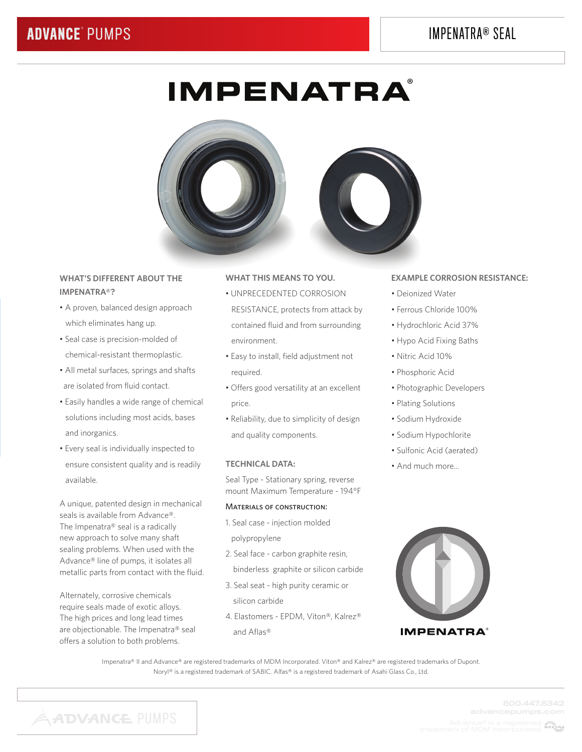# IMPENATRA® SEAL

# **IMPENATRA**®



# **WHAT'S DIFFERENT ABOUT THE IMPENATRA®?**

- A proven, balanced design approach which eliminates hang up.
- Seal case is precision-molded of chemical-resistant thermoplastic.
- All metal surfaces, springs and shafts are isolated from fluid contact.
- Easily handles a wide range of chemical solutions including most acids, bases and inorganics.
- Every seal is individually inspected to ensure consistent quality and is readily available.

A unique, patented design in mechanical seals is available from Advance®. The Impenatra® seal is a radically new approach to solve many shaft sealing problems. When used with the Advance® line of pumps, it isolates all metallic parts from contact with the fluid.

Alternately, corrosive chemicals require seals made of exotic alloys. The high prices and long lead times are objectionable. The Impenatra® seal offers a solution to both problems.

# **WHAT THIS MEANS TO YOU.**

- UNPRECEDENTED CORROSION RESISTANCE, protects from attack by contained fluid and from surrounding environment.
- Easy to install, field adjustment not required.
- Offers good versatility at an excellent price.
- Reliability, due to simplicity of design and quality components.

#### **TECHNICAL DATA:**

Seal Type - Stationary spring, reverse mount Maximum Temperature - 194°F

#### Materials of construction:

- 1. Seal case injection molded polypropylene
- 2. Seal face carbon graphite resin, binderless graphite or silicon carbide
- 3. Seal seat high purity ceramic or silicon carbide
- 4. Elastomers EPDM, Viton®, Kalrez® and Aflas®

### **EXAMPLE CORROSION RESISTANCE:**

- Deionized Water
- Ferrous Chloride 100%
- Hydrochloric Acid 37%
- Hypo Acid Fixing Baths
- Nitric Acid 10%
- Phosphoric Acid
- Photographic Developers
- Plating Solutions
- Sodium Hydroxide
- Sodium Hypochlorite
- Sulfonic Acid (aerated)
- And much more...



Impenatra® II and Advance® are registered trademarks of MDM Incorporated. Viton® and Kalrez® are registered trademarks of Dupont. Noryl® is a registered trademark of SABIC. Alfas® is a registered trademark of Asahi Glass Co., Ltd.